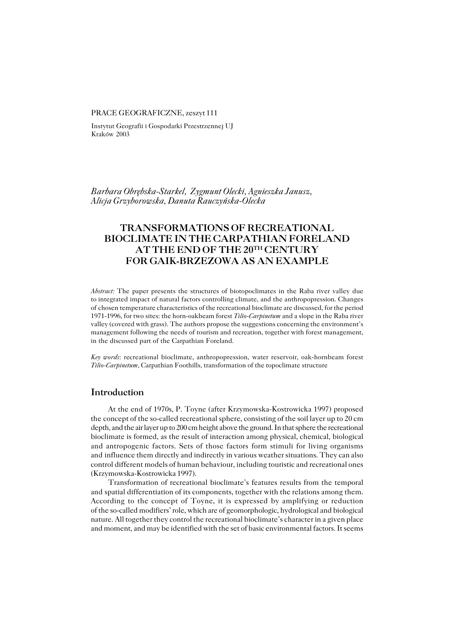### PRACE GEOGRAFICZNE, zeszyt 111

Instytut Geografii i Gospodarki Przestrzennej UJ Kraków 2003

*Barbara Obrębska−Starkel, Zygmunt Olecki, Agnieszka Janusz, Alicja Grzyborowska, Danuta Rauczyńska−Olecka*

# **TRANSFORMATIONS OF RECREATIONAL BIOCLIMATE IN THE CARPATHIAN FORELAND AT THE END OF THE 20TH CENTURY FOR GAIK−BRZEZOWA AS AN EXAMPLE**

*Abstract:* The paper presents the structures of biotopoclimates in the Raba river valley due tointegrated impact of natural factors controlling climate, and the anthropopression. Changes of chosen temperature characteristics of the recreational bioclimate are discussed, for the period 1971−1996, for two sites: the horn−oakbeam forest *Tilio−Carpinetum* and a slope in the Raba river valley (covered with grass). The authors propose the suggestions concerning the environment's management following the needs of tourism and recreation, together with forest management, in the discussed part of the Carpathian Foreland.

*Key words*: recreational bioclimate, anthropopression, water reservoir, oak−hornbeam forest *Tilio−Carpinetum*, Carpathian Foothills, transformation of the topoclimate structure

## **Introduction**

At the end of 1970s, P. Toyne (after Krzymowska−Kostrowicka 1997) proposed the concept of the so-called recreational sphere, consisting of the soil layer up to 20 cm depth, and the air layer up to 200 cm height above the ground. In that sphere the recreational bioclimate is formed, as the result of interaction among physical, chemical, biological and antropogenic factors. Sets of those factors form stimuli for living organisms and influence them directly and indirectly in various weather situations. They can also control different models of human behaviour, including touristic and recreational ones (Krzymowska−Kostrowicka 1997).

Transformation of recreational bioclimate's features results from the temporal and spatial differentiation of its components, together with the relations among them. According to the concept of Toyne, it is expressed by amplifying or reduction of the so−called modifiers' role, which are of geomorphologic, hydrological and biological nature. All together they control the recreational bioclimate's character in a given place and moment, and may be identified with the set of basic environmental factors. It seems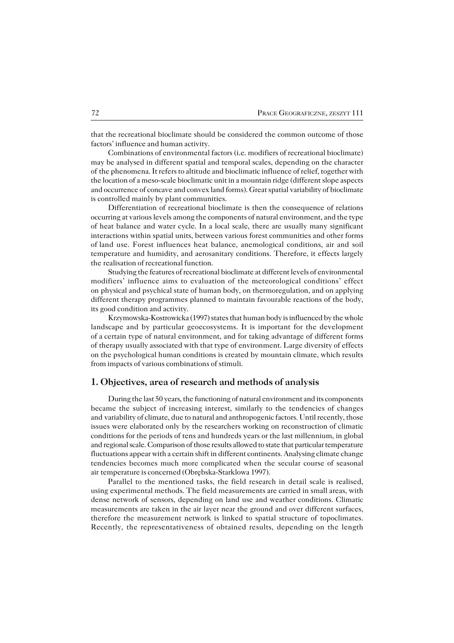that the recreational bioclimate should be considered the common outcome of those factors' influence and human activity.

Combinations of environmental factors (i.e. modifiers of recreational bioclimate) may be analysed in different spatial and temporal scales, depending on the character ofthe phenomena. It refers to altitude and bioclimatic influence of relief, together with the location of a meso−scale bioclimatic unit in a mountain ridge (different slope aspects and occurrence of concave and convex land forms). Great spatial variability of bioclimate is controlled mainly by plant communities.

Differentiation of recreational bioclimate is then the consequence of relations occurring at various levels among the components of natural environment, and the type of heat balance and water cycle. In a local scale, there are usually many significant interactions within spatial units, between various forest communities and other forms ofland use. Forest influences heat balance, anemological conditions, air and soil temperature and humidity, and aerosanitary conditions. Therefore, it effects largely the realisation of recreational function.

Studying the features of recreational bioclimate at different levels of environmental modifiers' influence aims to evaluation of the meteorological conditions' effect on physical and psychical state of human body, on thermoregulation, and on applying different therapy programmes planned to maintain favourable reactions of the body, its good condition and activity.

Krzymowska−Kostrowicka (1997) states that human body is influenced by the whole landscape and by particular geoecosystems. It is important for the development ofacertain type of natural environment, and for taking advantage of different forms of therapy usually associated with that type of environment. Large diversity of effects on the psychological human conditions is created by mountain climate, which results from impacts of various combinations of stimuli.

## **1. Objectives, area of research and methods of analysis**

During the last 50 years, the functioning of natural environment and its components became the subject of increasing interest, similarly to the tendencies of changes and variability of climate, due to natural and anthropogenic factors. Until recently, those issues were elaborated only by the researchers working on reconstruction of climatic conditions for the periods of tens and hundreds years or the last millennium, in global and regional scale. Comparison of those results allowed to state that particular temperature fluctuations appear with a certain shift in different continents. Analysing climate change tendencies becomes much more complicated when the secular course of seasonal air temperature is concerned (Obrębska-Starklowa 1997).

Parallel to the mentioned tasks, the field research in detail scale is realised, using experimental methods. The field measurements are carried in small areas, with dense network of sensors, depending on land use and weather conditions. Climatic measurements are taken in the air layer near the ground and over different surfaces, therefore the measurement network is linked to spatial structure of topoclimates. Recently, the representativeness of obtained results, depending on the length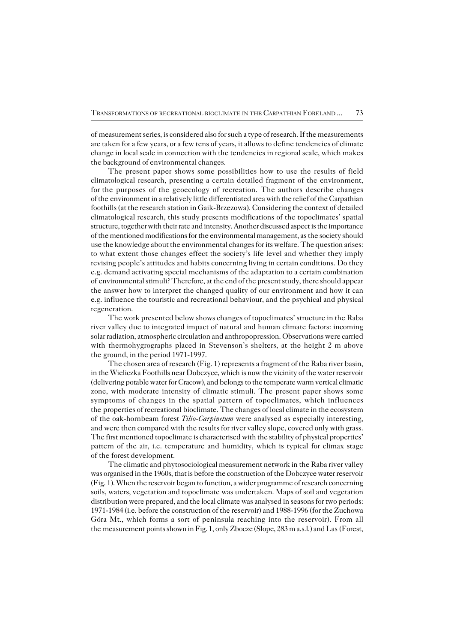of measurement series, is considered also for such a type of research. If the measurements are taken for a few years, or a few tens of years, it allows to define tendencies of climate change in local scale in connection with the tendencies in regional scale, which makes the background of environmental changes.

The present paper shows some possibilities how to use the results of field climatological research, presenting a certain detailed fragment of the environment, forthe purposes of the geoecology of recreation. The authors describe changes of the environment in a relatively little differentiated area with the relief of the Carpathian foothills (at the research station in Gaik−Brzezowa). Considering the context of detailed climatological research, this study presents modifications of the topoclimates' spatial structure, together with their rate and intensity. Another discussed aspect is the importance of the mentioned modifications for the environmental management, as the society should use the knowledge about the environmental changes for its welfare. The question arises: to what extent those changes effect the society's life level and whether they imply revising people's attitudes and habits concerning living in certain conditions. Do they e.g. demand activating special mechanisms of the adaptation to a certain combination of environmental stimuli? Therefore, at the end of the present study, there should appear the answer how to interpret the changed quality of our environment and how it can e.g. influence the touristic and recreational behaviour, and the psychical and physical regeneration.

The work presented below shows changes of topoclimates' structure in the Raba river valley due to integrated impact of natural and human climate factors: incoming solar radiation, atmospheric circulation and anthropopression. Observations were carried with thermohygrographs placed in Stevenson's shelters, at the height 2 m above theground, in the period 1971−1997.

The chosen area of research (Fig. 1) represents a fragment of the Raba river basin, in the Wieliczka Foothills near Dobczyce, which is now the vicinity of the water reservoir (delivering potable water for Cracow), and belongs to the temperate warm vertical climatic zone, with moderate intensity of climatic stimuli. The present paper shows some symptoms of changes in the spatial pattern of topoclimates, which influences the properties of recreational bioclimate. The changes of local climate in the ecosystem of the oak−hornbeam forest *Tilio−Carpinetum* were analysed as especially interesting, and were then compared with the results for river valley slope, covered only with grass. The first mentioned topoclimate is characterised with the stability of physical properties' pattern of the air, i.e. temperature and humidity, which is typical for climax stage of the forest development.

The climatic and phytosociological measurement network in the Raba river valley was organised in the 1960s, that is before the construction of the Dobczyce water reservoir (Fig. 1). When the reservoir began to function, a wider programme of research concerning soils, waters, vegetation and topoclimate was undertaken. Maps of soil and vegetation distribution were prepared, and the local climate was analysed in seasons for two periods: 1971−1984 (i.e. before the construction of the reservoir) and 1988−1996 (for the Zuchowa Góra Mt., which forms a sort of peninsula reaching into the reservoir). From all the measurement points shown in Fig. 1, only Zbocze (Slope, 283 m a.s.l.) and Las (Forest,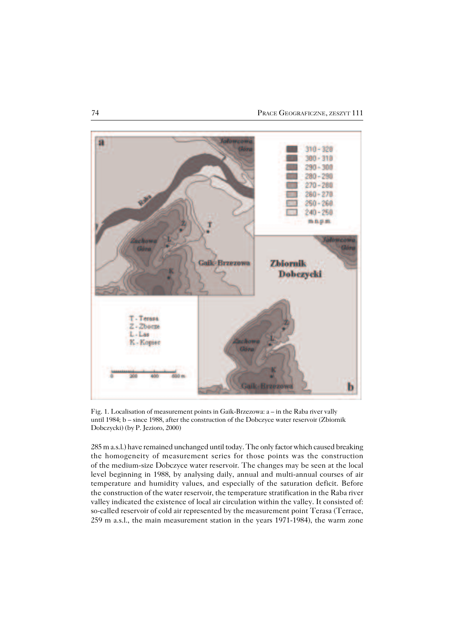

Fig. 1. Localisation of measurement points in Gaik−Brzezowa: a – in the Raba river vally until 1984; b – since 1988, after the construction of the Dobczyce water reservoir (Zbiornik Dobczycki) (by P. Jezioro, 2000)

285 m a.s.l.) have remained unchanged until today. The only factor which caused breaking the homogeneity of measurement series for those points was the construction of the medium-size Dobczyce water reservoir. The changes may be seen at the local level beginning in 1988, by analysing daily, annual and multi−annual courses of air temperature and humidity values, and especially of the saturation deficit. Before the construction of the water reservoir, the temperature stratification in the Raba river valley indicated the existence of local air circulation within the valley. It consisted of: so−called reservoir of cold air represented by the measurement point Terasa (Terrace, 259 m a.s.l., the main measurement station in the years 1971−1984), the warm zone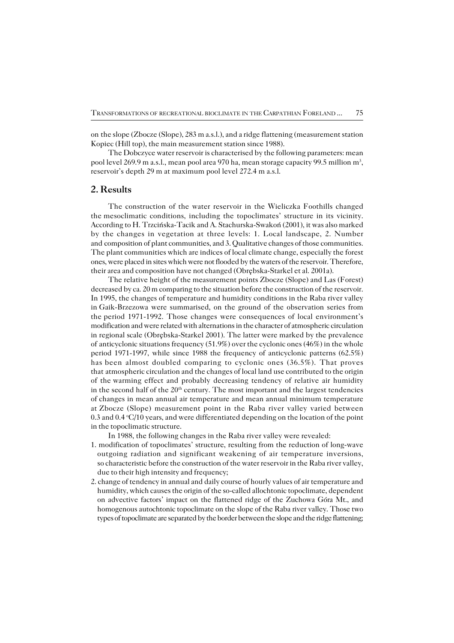on the slope (Zbocze (Slope), 283 m a.s.l.), and a ridge flattening (measurement station Kopiec (Hill top), the main measurement station since 1988).

The Dobczyce water reservoir is characterised by the following parameters: mean pool level 269.9 m a.s.l., mean pool area 970 ha, mean storage capacity 99.5 million m<sup>3</sup>, reservoir's depth 29 m at maximum pool level 272.4 m a.s.l.

## **2. Results**

The construction of the water reservoir in the Wieliczka Foothills changed themesoclimatic conditions, including the topoclimates' structure in its vicinity. According to H. Trzcińska−Tacik and A. Stachurska−Swakoń (2001), it was also marked by the changes in vegetation at three levels: 1. Local landscape, 2. Number and composition of plant communities, and 3. Qualitative changes of those communities. The plant communities which are indices of local climate change, especially the forest ones, were placed in sites which were not flooded by the waters of the reservoir. Therefore, their area and composition have not changed (Obrębska−Starkel et al. 2001a).

The relative height of the measurement points Zbocze (Slope) and Las (Forest) decreased by ca. 20 m comparing to the situation before the construction of the reservoir. In 1995, the changes of temperature and humidity conditions in the Raba river valley inGaik−Brzezowa were summarised, on the ground of the observation series from the period 1971−1992. Those changes were consequences of local environment's modification and were related with alternations in the character of atmospheric circulation in regional scale (Obrębska−Starkel 2001). The latter were marked by the prevalence of anticyclonic situations frequency  $(51.9%)$  over the cyclonic ones  $(46%)$  in the whole period 1971−1997, while since 1988 the frequency of anticyclonic patterns (62.5%) has been almost doubled comparing to cyclonic ones (36.5%). That proves that atmospheric circulation and the changes of local land use contributed to the origin of thewarming effect and probably decreasing tendency of relative air humidity in the second half of the  $20<sup>th</sup>$  century. The most important and the largest tendencies ofchanges in mean annual air temperature and mean annual minimum temperature atZbocze (Slope) measurement point in the Raba river valley varied between 0.3 and  $0.4 \text{ }^{\circ}C/10$  years, and were differentiated depending on the location of the point in the topoclimatic structure.

In 1988, the following changes in the Raba river valley were revealed:

- 1. modification of topoclimates' structure, resulting from the reduction of long−wave outgoing radiation and significant weakening of air temperature inversions, so characteristic before the construction of the water reservoir in the Raba river valley, due to their high intensity and frequency;
- 2. change of tendency in annual and daily course of hourly values of air temperature and humidity, which causes the origin of the so−called allochtonic topoclimate, dependent on advective factors' impact on the flattened ridge of the Zuchowa Góra Mt., and homogenous autochtonic topoclimate on the slope of the Raba river valley. Those two types of topoclimate are separated by the border between the slope and the ridge flattening;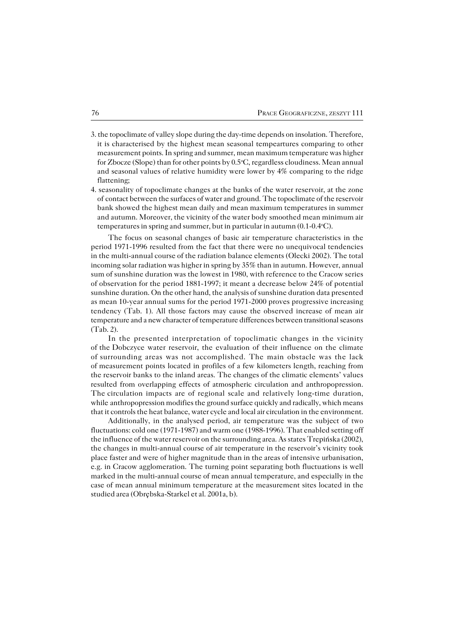- 3. the topoclimate of valley slope during the day−time depends on insolation. Therefore, it is characterised by the highest mean seasonal tempeartures comparing to other measurement points. In spring and summer, mean maximum temperature was higher for Zbocze (Slope) than for other points by 0.5°C, regardless cloudiness. Mean annual and seasonal values of relative humidity were lower by 4% comparing to the ridge flattening;
- 4. seasonality of topoclimate changes at the banks of the water reservoir, at the zone ofcontact between the surfaces of water and ground. The topoclimate of the reservoir bank showed the highest mean daily and mean maximum temperatures in summer and autumn. Moreover, the vicinity of the water body smoothed mean minimum air temperatures in spring and summer, but in particular in autumn (0.1−0.4oC).

The focus on seasonal changes of basic air temperature characteristics in the period 1971−1996 resulted from the fact that there were no unequivocal tendencies in the multi−annual course of the radiation balance elements (Olecki 2002). The total incoming solar radiation was higher in spring by 35% than in autumn. However, annual sum of sunshine duration was the lowest in 1980, with reference to the Cracow series of observation for the period 1881-1997; it meant a decrease below 24% of potential sunshine duration. On the other hand, the analysis of sunshine duration data presented as mean 10−year annual sums for the period 1971−2000 proves progressive increasing tendency (Tab. 1). All those factors may cause the observed increase of mean air temperature and a new character of temperature differences between transitional seasons (Tab. 2).

In the presented interpretation of topoclimatic changes in the vicinity oftheDobczyce water reservoir, the evaluation of their influence on the climate of surrounding areas was not accomplished. The main obstacle was the lack of measurement points located in profiles of a few kilometers length, reaching from the reservoir banks to the inland areas. The changes of the climatic elements' values resulted from overlapping effects of atmospheric circulation and anthropopression. The circulation impacts are of regional scale and relatively long-time duration, while anthropopression modifies the ground surface quickly and radically, which means that it controls the heat balance, water cycle and local air circulation in the environment.

Additionally, in the analysed period, air temperature was the subject of two fluctuations: cold one (1971−1987) and warm one (1988−1996). That enabled setting off the influence of the water reservoir on the surrounding area. As states Trepińska (2002), the changes in multi−annual course of air temperature in the reservoir's vicinity took place faster and were of higher magnitude than in the areas of intensive urbanisation, e.g. in Cracow agglomeration. The turning point separating both fluctuations is well marked in the multi−annual course of mean annual temperature, and especially in the case of mean annual minimum temperature at the measurement sites located in the studied area (Obrębska−Starkel et al. 2001a, b).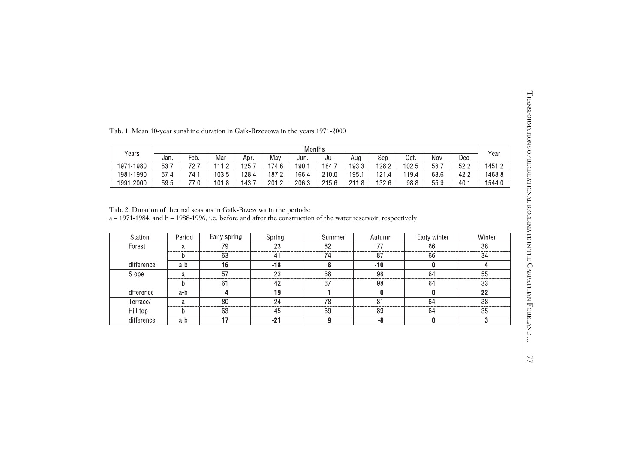| Fab. 1. Mean 10-year sunshine duration in Gaik-Brzezowa in the years 1971-2000 |  |  |
|--------------------------------------------------------------------------------|--|--|
|--------------------------------------------------------------------------------|--|--|

|           |      |                      |       |       |       | Months |       |       |       |       |      |      |        |
|-----------|------|----------------------|-------|-------|-------|--------|-------|-------|-------|-------|------|------|--------|
| Years     | Jan. | $Feb$ .              | Mar.  | Apr.  | Mav   | Jun.   | Jul.  | Aug.  | Sep.  | Oct.  | Nov. | Dec. | Year   |
| 1971-1980 | 53.  | 70<br>$\sim$         | 11 O  | 125.  | 174.6 | 190.   | 184.7 | 193.3 | 128.2 | 102.5 | 58.7 | 52.2 | 1451.2 |
| 1981-1990 | 57.4 | 74.1                 | 103.5 | 128.4 | 187.2 | 166.4  | 210.0 | 195.  | 121   | 119.4 | 63.6 | 42.2 | 1468.8 |
| 1991-2000 | 59.5 | $\rightarrow$<br>ں ، | 101.8 | 143.  | 201   | 206.3  | 215.6 | 0110  | 132.6 | 98.8  | 55.9 | 40.  | 1544.0 |

|                                                                                                                                                                                                    |        |      |                 |       |                       | <b>Months</b> |          |       |                       |       |              |      | Year                  |
|----------------------------------------------------------------------------------------------------------------------------------------------------------------------------------------------------|--------|------|-----------------|-------|-----------------------|---------------|----------|-------|-----------------------|-------|--------------|------|-----------------------|
| Years                                                                                                                                                                                              | Jan.   | Feb. | Mar.            | Apr.  | May                   | Jun.          | Jul.     | Aug.  | Sep.                  | Oct.  | Nov.         | Dec. |                       |
| 1971-1980                                                                                                                                                                                          | 53.7   | 72.7 | 111.2           | 125.7 | 174.6                 | 190.1         | 184.7    | 193.3 | 128.2                 | 102.5 | 58.7         | 52.2 | 1451.2                |
| 1981-1990                                                                                                                                                                                          | 57.4   | 74.1 | 103.5           | 128.4 | 187.2                 | 166.4         | 210.0    | 195.1 | 121.4                 | 119.4 | 63.6         | 42.2 | 1468.8                |
| 1991-2000                                                                                                                                                                                          | 59.5   | 77.0 | 101.8           | 143.7 | 201.2                 | 206.3         | 215.6    | 211.8 | 132.6                 | 98.8  | 55.9         | 40.1 | 1544.0                |
| Station                                                                                                                                                                                            | Period |      | Early spring    |       | Spring                |               | Summer   |       | Autumn                |       | Early winter |      | Winter                |
|                                                                                                                                                                                                    |        |      |                 |       |                       |               |          |       |                       |       |              |      |                       |
| Forest                                                                                                                                                                                             | a      |      | 79              |       | 23                    |               | 82       |       | 77                    |       | 66           |      | 38                    |
|                                                                                                                                                                                                    | b      |      | 63              |       | 41                    |               | 74       |       | 87                    |       | 66           |      | 34                    |
| difference                                                                                                                                                                                         | $a-b$  |      | 16              |       | $-18$                 |               | 8        |       | $-10$                 |       | 0            |      | 4                     |
| Slope                                                                                                                                                                                              | a      |      | $\overline{57}$ |       | $\overline{23}$       |               | 68       |       | $\overline{98}$       |       | 64           |      | $\overline{55}$       |
|                                                                                                                                                                                                    | h      |      | 61              |       | 42                    |               | 67       |       | 98                    |       | 64           |      | 33                    |
| Tab. 2. Duration of thermal seasons in Gaik-Brzezowa in the periods:<br>a - 1971-1984, and b - 1988-1996, i.e. before and after the construction of the water reservoir, respectively<br>dfference | a-b    |      | $-4$            |       | $-19$                 |               | 1        |       | 0                     |       | 0            |      | 22                    |
| Terrace/<br>Hill top                                                                                                                                                                               | a<br>b |      | 80<br>63        |       | $\overline{24}$<br>45 |               | 78<br>69 |       | $\overline{81}$<br>89 |       | 64<br>64     |      | $\overline{38}$<br>35 |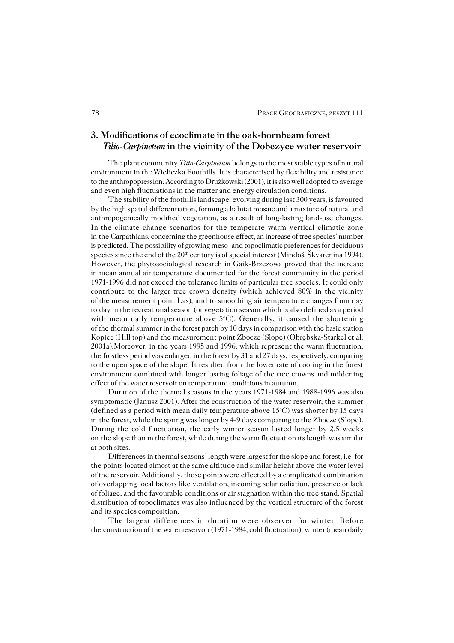## **3. Modifications of ecoclimate in the oak−hornbeam forest**  *Tilio−Carpinetum* **in the vicinity of the Dobczyce water reservoir**

The plant community *Tilio−Carpinetum* belongs to the most stable types of natural environment in the Wieliczka Foothills. It is characterised by flexibility and resistance to the anthropopression. According to Družkowski (2001), it is also well adopted to average and even high fluctuations in the matter and energy circulation conditions.

The stability of the foothills landscape, evolving during last 300 years, is favoured by the high spatial differentiation, forming a habitat mosaic and a mixture of natural and anthropogenically modified vegetation, as a result of long−lasting land−use changes. In the climate change scenarios for the temperate warm vertical climatic zone intheCarpathians, concerning the greenhouse effect, an increase of tree species' number is predicted. The possibility of growing meso− and topoclimatic preferences for deciduous species since the end of the  $20<sup>th</sup>$  century is of special interest (Mindoš, Škvarenina 1994). However, the phytosociological research in Gaik−Brzezowa proved that the increase in mean annual air temperature documented for the forest community in the period 1971−1996 did not exceed the tolerance limits of particular tree species. It could only contribute to the larger tree crown density (which achieved 80% in the vicinity of the measurement point Las), and to smoothing air temperature changes from day today in the recreational season (or vegetation season which is also defined as a period with mean daily temperature above  $5^{\circ}$ C). Generally, it caused the shortening of the thermal summer in the forest patch by 10 days in comparison with the basic station Kopiec (Hill top) and the measurement point Zbocze (Slope) (Obrębska−Starkel et al. 2001a).Moreover, in the years 1995 and 1996, which represent the warm fluctuation, the frostless period was enlarged in the forest by 31 and 27 days, respectively, comparing to the open space of the slope. It resulted from the lower rate of cooling in the forest environment combined with longer lasting foliage of the tree crowns and mildening effect of the water reservoir on temperature conditions in autumn.

Duration of the thermal seasons in the years 1971−1984 and 1988−1996 was also symptomatic (Janusz 2001). After the construction of the water reservoir, the summer (defined as a period with mean daily temperature above  $15^{\circ}$ C) was shorter by 15 days in the forest, while the spring was longer by 4–9 days comparing to the Zbocze (Slope). During the cold fluctuation, the early winter season lasted longer by 2.5 weeks on the slope than in the forest, while during the warm fluctuation its length was similar at both sites.

Differences in thermal seasons' length were largest for the slope and forest, i.e. for the points located almost at the same altitude and similar height above the water level of the reservoir. Additionally, those points were effected by a complicated combination of overlapping local factors like ventilation, incoming solar radiation, presence or lack of foliage, and the favourable conditions or air stagnation within the tree stand. Spatial distribution of topoclimates was also influenced by the vertical structure of the forest and its species composition.

The largest differences in duration were observed for winter. Before the construction of the water reservoir (1971-1984, cold fluctuation), winter (mean daily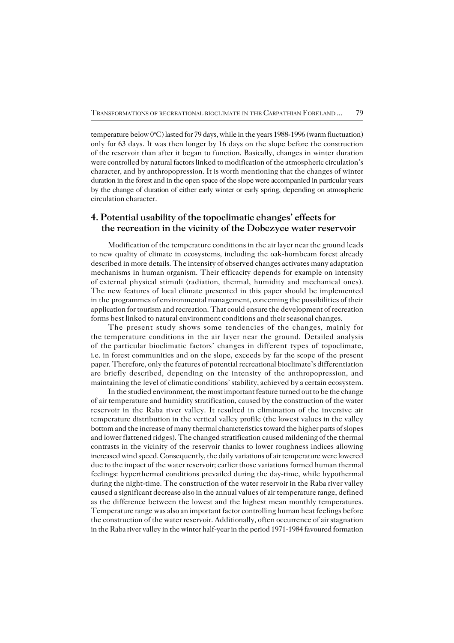temperature below 0°C) lasted for 79 days, while in the years 1988−1996 (warm fluctuation) only for 63 days. It was then longer by 16 days on the slope before the construction of the reservoir than after it began to function. Basically, changes in winter duration were controlled by natural factors linked to modification of the atmospheric circulation's character, and by anthropopression. It is worth mentioning that the changes of winter duration in the forest and in the open space of the slope were accompanied in particular years by the change of duration of either early winter or early spring, depending on atmospheric circulation character.

## **4. Potential usability of the topoclimatic changes' effects for the recreation in the vicinity of the Dobczyce water reservoir**

Modification of the temperature conditions in the air layer near the ground leads tonew quality of climate in ecosystems, including the oak−hornbeam forest already described in more details. The intensity of observed changes activates many adaptation mechanisms in human organism. Their efficacity depends for example on intensity ofexternal physical stimuli (radiation, thermal, humidity and mechanical ones). The new features of local climate presented in this paper should be implemented in the programmes of environmental management, concerning the possibilities of their application for tourism and recreation. That could ensure the development of recreation forms best linked to natural environment conditions and their seasonal changes.

The present study shows some tendencies of the changes, mainly for the temperature conditions in the air layer near the ground. Detailed analysis of the particular bioclimatic factors' changes in different types of topoclimate, i.e. in forest communities and on the slope, exceeds by far the scope of the present paper. Therefore, only the features of potential recreational bioclimate's differentiation are briefly described, depending on the intensity of the anthropopression, and maintaining the level of climatic conditions' stability, achieved by a certain ecosystem.

In the studied environment, the most important feature turned out to be the change of air temperature and humidity stratification, caused by the construction of the water reservoir in the Raba river valley. It resulted in elimination of the inversive air temperature distribution in the vertical valley profile (the lowest values in the valley bottom and the increase of many thermal characteristics toward the higher parts of slopes and lower flattened ridges). The changed stratification caused mildening of the thermal contrasts in the vicinity of the reservoir thanks to lower roughness indices allowing increased wind speed. Consequently, the daily variations of air temperature were lowered due to the impact of the water reservoir; earlier those variations formed human thermal feelings: hyperthermal conditions prevailed during the day−time, while hypothermal during the night−time. The construction of the water reservoir in the Raba river valley caused a significant decrease also in the annual values of air temperature range, defined as the difference between the lowest and the highest mean monthly temperatures. Temperature range was also an important factor controlling human heat feelings before the construction of the water reservoir. Additionally, often occurrence of air stagnation in the Raba river valley in the winter half−year in the period 1971−1984 favoured formation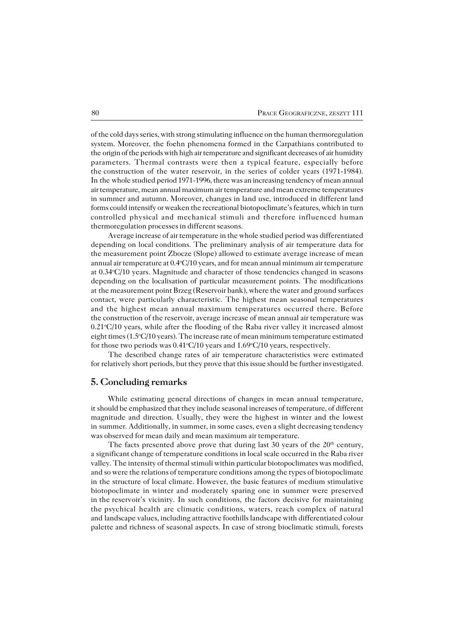of the cold days series, with strong stimulating influence on the human thermoregulation system. Moreover, the foehn phenomena formed in the Carpathians contributed to the origin of the periods with high air temperature and significant decreases of air humidity parameters. Thermal contrasts were then a typical feature, especially before the construction of the water reservoir, in the series of colder years (1971-1984). In the whole studied period 1971-1996, there was an increasing tendency of mean annual air temperature, mean annual maximum air temperature and mean extreme temperatures in summer and autumn. Moreover, changes in land use, introduced in different land forms could intensify or weaken the recreational biotopoclimate's features, which inturn controlled physical and mechanical stimuli and therefore influenced human thermoregulation processes in different seasons.

Average increase of air temperature in the whole studied period was differentiated depending on local conditions. The preliminary analysis of air temperature data for the measurement point Zbocze (Slope) allowed to estimate average increase of mean annual air temperature at  $0.4\text{°C}/10$  years, and for mean annual minimum air temperature at 0.34°C/10 years. Magnitude and character of those tendencies changed in seasons depending on the localisation of particular measurement points. The modifications atthe measurement point Brzeg (Reservoir bank), where the water and ground surfaces contact, were particularly characteristic. The highest mean seasonal temperatures and the highest mean annual maximum temperatures occurred there. Before the construction of the reservoir, average increase of mean annual air temperature was  $0.21^{\circ}C/10$  years, while after the flooding of the Raba river valley it increased almost eight times  $(1.5\textdegree C/10 \text{ years})$ . The increase rate of mean minimum temperature estimated for those two periods was  $0.41^{\circ}C/10$  years and  $1.69^{\circ}C/10$  years, respectively.

The described change rates of air temperature characteristics were estimated for relatively short periods, but they prove that this issue should be further investigated.

## **5. Concluding remarks**

While estimating general directions of changes in mean annual temperature, it should be emphasized that they include seasonal increases of temperature, of different magnitude and direction. Usually, they were the highest in winter and the lowest in summer. Additionally, in summer, in some cases, even a slight decreasing tendency was observed for mean daily and mean maximum air temperature.

The facts presented above prove that during last 30 years of the  $20<sup>th</sup>$  century, a significant change of temperature conditions in local scale occurred in the Raba river valley. The intensity of thermal stimuli within particular biotopoclimates was modified, and so were the relations of temperature conditions among the types of biotopoclimate in the structure of local climate. However, the basic features of medium stimulative biotopoclimate in winter and moderately sparing one in summer were preserved in the reservoir's vicinity. In such conditions, the factors decisive for maintaining the psychical health are climatic conditions, waters, reach complex of natural and landscape values, including attractive foothills landscape with differentiated colour palette and richness of seasonal aspects. In case of strong bioclimatic stimuli, forests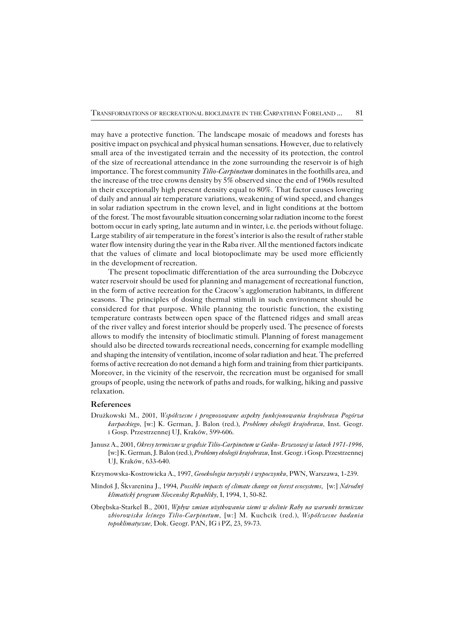may have a protective function. The landscape mosaic of meadows and forests has positive impact on psychical and physical human sensations. However, due to relatively small area of the investigated terrain and the necessity of its protection, the control of the size of recreational attendance in the zone surrounding the reservoir is of high importance. The forest community *Tilio−Carpinetum* dominates in the foothills area, and the increase of the tree crowns density by 5% observed since the end of 1960s resulted in their exceptionally high present density equal to 80%. That factor causes lowering ofdaily and annual air temperature variations, weakening of wind speed, and changes insolar radiation spectrum in the crown level, and in light conditions at the bottom of the forest. The most favourable situation concerning solar radiation income to the forest bottom occur in early spring, late autumn and in winter, i.e. the periods without foliage. Large stability of air temperature in the forest's interior is also the result of rather stable water flow intensity during the year in the Raba river. All the mentioned factors indicate that the values of climate and local biotopoclimate may be used more efficiently in the development of recreation.

The present topoclimatic differentiation of the area surrounding the Dobczyce water reservoir should be used for planning and management of recreational function, in the form of active recreation for the Cracow's agglomeration habitants, in different seasons. The principles of dosing thermal stimuli in such environment should be considered for that purpose. While planning the touristic function, the existing temperature contrasts between open space of the flattened ridges and small areas of the river valley and forest interior should be properly used. The presence of forests allows to modify the intensity of bioclimatic stimuli. Planning of forest management should also be directed towards recreational needs, concerning for example modelling and shaping the intensity of ventilation, income of solar radiation and heat. The preferred forms of active recreation do not demand a high form and training from thier participants. Moreover, in the vicinity of the reservoir, the recreation must be organised for small groups of people, using the network of paths and roads, for walking, hiking and passive relaxation.

#### **References**

- Drużkowski M., 2001, *Współczesne i prognozowane aspekty funkcjonowania krajobrazu Pogórza karpackiego,* [w:] K. German, J. Balon (red.), *Problemy ekologii krajobrazu,* Inst. Geogr. i Gosp. Przestrzennej UJ, Kraków, 599−606.
- Janusz A., 2001, *Okresy termiczne w grądzie Tilio−Carpinetum w Gaiku− Brzezowej w latach 1971−1996,* [w:] K. German, J. Balon (red.), *Problemy ekologii krajobrazu,* Inst. Geogr. i Gosp. Przestrzennej UJ, Kraków, 633−640.
- Krzymowska−Kostrowicka A., 1997, *Geoekologia turystyki i wypoczynku,* PWN, Warszawa, 1−239.
- Mindoš J, Škvarenina J., 1994, *Possible impacts of climate change on forest ecosystems,* [w:] *Národný klimatický program Slovenskej Republiky,* I, 1994, 1, 50−82.
- Obrębska−Starkel B., 2001, *Wpływ zmian użytkowania ziemi w dolinie Raby na warunki termiczne zbiorowiska leśnego Tilio−Carpinetum,* [w:] M. Kuchcik (red.), *Współczesne badania topoklimatyczne,* Dok. Geogr. PAN, IG i PZ, 23, 59−73.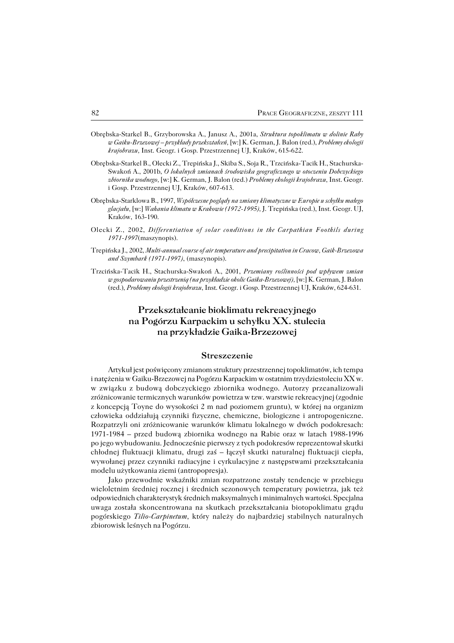- Obrębska−Starkel B., Grzyborowska A., Janusz A., 2001a, *Struktura topoklimatu w dolinie Raby w Gaiku−Brzezowej – przykłady przekształceń,* [w:] K. German, J. Balon (red.), *Problemy ekologii krajobrazu,* Inst. Geogr. i Gosp. Przestrzennej UJ, Kraków, 615−622.
- Obrębska−Starkel B., Olecki Z., Trepińska J., Skiba S., Soja R., Trzcińska−Tacik H., Stachurska− Swakoń A., 2001b, *O lokalnych zmianach środowiska geograficznego w otoczeniu Dobczyckiego zbiornika wodnego,* [w:] K. German, J. Balon (red.) *Problemy ekologii krajobrazu,* Inst. Geogr. i Gosp. Przestrzennej UJ, Kraków, 607−613.
- Obrębska−Starklowa B., 1997, *Współczesne poglądy na zmiany klimatyczne w Europie u schyłku małego glacjału,* [w:] *Wahania klimatu w Krakowie (1972−1995),* J. Trepińska (red.), Inst. Geogr. UJ, Kraków, 163−190.
- Olecki Z., 2002, *Differentiation of solar conditions in the Carpathian Foothils during 1971−1997*(maszynopis).
- Trepińska J., 2002, *Multi−annual course of air temperature and precipitation in Cracow, Gaik−Brzezowa and Szymbark (1971−1997)*, (maszynopis).
- Trzcińska−Tacik H., Stachurska−Swakoń A., 2001, *Przemiany roślinności pod wpływem zmian w gospodarowaniu przestrzenią (na przykładzie okolic Gaika−Brzezowej),* [w:] K. German, J. Balon (red.), *Problemy ekologii krajobrazu*, Inst. Geogr. i Gosp. Przestrzennej UJ, Kraków, 624−631.

# **Przekształcanie bioklimatu rekreacyjnego na Pogórzu Karpackim u schyłku XX. stulecia na przykładzie Gaika−Brzezowej**

#### **Streszczenie**

Artykuł jest poświęcony zmianom struktury przestrzennej topoklimatów, ich tempa i natężenia w Gaiku−Brzezowej na Pogórzu Karpackim w ostatnim trzydziestoleciu XX w. w związku z budową dobczyckiego zbiornika wodnego. Autorzy przeanalizowali zróżnicowanie termicznych warunków powietrza w tzw. warstwie rekreacyjnej (zgodnie z koncepcją Toyne do wysokości 2 m nad poziomem gruntu), w której na organizm człowieka oddziałują czynniki fizyczne, chemiczne, biologiczne i antropogeniczne. Rozpatrzyli oni zróżnicowanie warunków klimatu lokalnego w dwóch podokresach: 1971−1984 – przed budową zbiornika wodnego na Rabie oraz w latach 1988−1996 po jego wybudowaniu. Jednocześnie pierwszy z tych podokresów reprezentował skutki chłodnej fluktuacji klimatu, drugi zaś – łączył skutki naturalnej fluktuacji ciepła, wywołanej przez czynniki radiacyjne i cyrkulacyjne z następstwami przekształcania modelu użytkowania ziemi (antropopresja).

Jako przewodnie wskaźniki zmian rozpatrzone zostały tendencje w przebiegu wieloletnim średniej rocznej i średnich sezonowych temperatury powietrza, jak też odpowiednich charakterystyk średnich maksymalnych i minimalnych wartości. Specjalna uwaga została skoncentrowana na skutkach przekształcania biotopoklimatu grądu pogórskiego *Tilio−Carpinetum,* który należy do najbardziej stabilnych naturalnych zbiorowisk leśnych na Pogórzu.